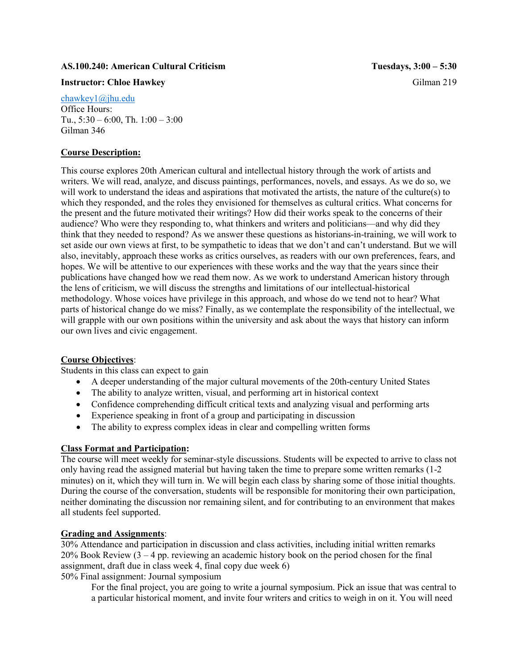#### **AS.100.240: American Cultural Criticism Tuesdays, 3:00 – 5:30**

#### **Instructor: Chloe Hawkey Gilman 219**

[chawkey1@jhu.edu](mailto:chawkey1@jhu.edu) Office Hours: Tu., 5:30 – 6:00, Th. 1:00 – 3:00 Gilman 346

### **Course Description:**

This course explores 20th American cultural and intellectual history through the work of artists and writers. We will read, analyze, and discuss paintings, performances, novels, and essays. As we do so, we will work to understand the ideas and aspirations that motivated the artists, the nature of the culture(s) to which they responded, and the roles they envisioned for themselves as cultural critics. What concerns for the present and the future motivated their writings? How did their works speak to the concerns of their audience? Who were they responding to, what thinkers and writers and politicians—and why did they think that they needed to respond? As we answer these questions as historians-in-training, we will work to set aside our own views at first, to be sympathetic to ideas that we don't and can't understand. But we will also, inevitably, approach these works as critics ourselves, as readers with our own preferences, fears, and hopes. We will be attentive to our experiences with these works and the way that the years since their publications have changed how we read them now. As we work to understand American history through the lens of criticism, we will discuss the strengths and limitations of our intellectual-historical methodology. Whose voices have privilege in this approach, and whose do we tend not to hear? What parts of historical change do we miss? Finally, as we contemplate the responsibility of the intellectual, we will grapple with our own positions within the university and ask about the ways that history can inform our own lives and civic engagement.

### **Course Objectives**:

Students in this class can expect to gain

- A deeper understanding of the major cultural movements of the 20th-century United States
- The ability to analyze written, visual, and performing art in historical context
- Confidence comprehending difficult critical texts and analyzing visual and performing arts
- Experience speaking in front of a group and participating in discussion
- The ability to express complex ideas in clear and compelling written forms

### **Class Format and Participation:**

The course will meet weekly for seminar-style discussions. Students will be expected to arrive to class not only having read the assigned material but having taken the time to prepare some written remarks (1-2 minutes) on it, which they will turn in. We will begin each class by sharing some of those initial thoughts. During the course of the conversation, students will be responsible for monitoring their own participation, neither dominating the discussion nor remaining silent, and for contributing to an environment that makes all students feel supported.

### **Grading and Assignments**:

30% Attendance and participation in discussion and class activities, including initial written remarks 20% Book Review (3 – 4 pp. reviewing an academic history book on the period chosen for the final assignment, draft due in class week 4, final copy due week 6)

50% Final assignment: Journal symposium

For the final project, you are going to write a journal symposium. Pick an issue that was central to a particular historical moment, and invite four writers and critics to weigh in on it. You will need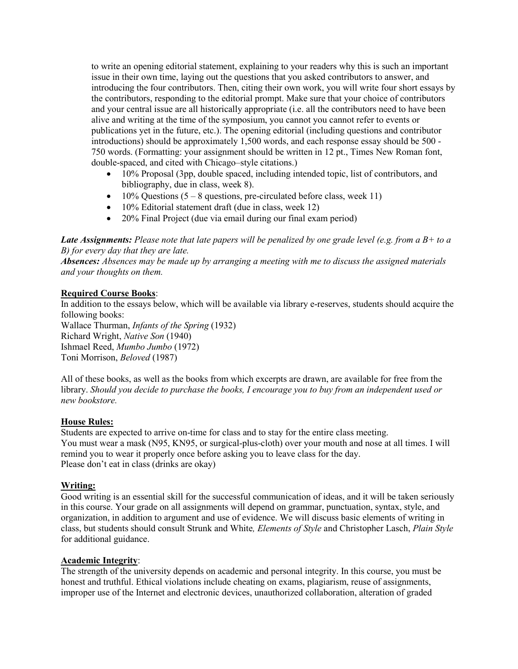to write an opening editorial statement, explaining to your readers why this is such an important issue in their own time, laying out the questions that you asked contributors to answer, and introducing the four contributors. Then, citing their own work, you will write four short essays by the contributors, responding to the editorial prompt. Make sure that your choice of contributors and your central issue are all historically appropriate (i.e. all the contributors need to have been alive and writing at the time of the symposium, you cannot you cannot refer to events or publications yet in the future, etc.). The opening editorial (including questions and contributor introductions) should be approximately 1,500 words, and each response essay should be 500 - 750 words. (Formatting: your assignment should be written in 12 pt., Times New Roman font, double-spaced, and cited with Chicago–style citations.)

- 10% Proposal (3pp, double spaced, including intended topic, list of contributors, and bibliography, due in class, week 8).
- 10% Questions  $(5 8$  questions, pre-circulated before class, week 11)
- 10% Editorial statement draft (due in class, week 12)
- 20% Final Project (due via email during our final exam period)

*Late Assignments: Please note that late papers will be penalized by one grade level (e.g. from a B+ to a B) for every day that they are late.*

*Absences: Absences may be made up by arranging a meeting with me to discuss the assigned materials and your thoughts on them.* 

### **Required Course Books**:

In addition to the essays below, which will be available via library e-reserves, students should acquire the following books:

Wallace Thurman, *Infants of the Spring* (1932) Richard Wright, *Native Son* (1940) Ishmael Reed, *Mumbo Jumbo* (1972) Toni Morrison, *Beloved* (1987)

All of these books, as well as the books from which excerpts are drawn, are available for free from the library. *Should you decide to purchase the books, I encourage you to buy from an independent used or new bookstore.*

### **House Rules:**

Students are expected to arrive on-time for class and to stay for the entire class meeting. You must wear a mask (N95, KN95, or surgical-plus-cloth) over your mouth and nose at all times. I will remind you to wear it properly once before asking you to leave class for the day. Please don't eat in class (drinks are okay)

# **Writing:**

Good writing is an essential skill for the successful communication of ideas, and it will be taken seriously in this course. Your grade on all assignments will depend on grammar, punctuation, syntax, style, and organization, in addition to argument and use of evidence. We will discuss basic elements of writing in class, but students should consult Strunk and White*, Elements of Style* and Christopher Lasch, *Plain Style* for additional guidance.

#### **Academic Integrity**:

The strength of the university depends on academic and personal integrity. In this course, you must be honest and truthful. Ethical violations include cheating on exams, plagiarism, reuse of assignments, improper use of the Internet and electronic devices, unauthorized collaboration, alteration of graded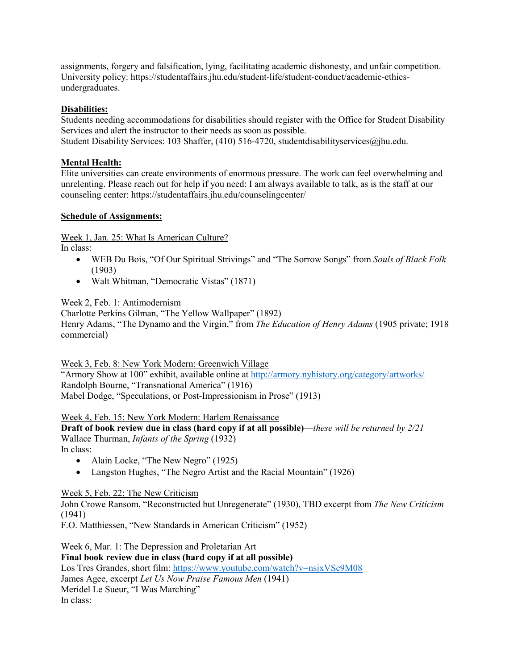assignments, forgery and falsification, lying, facilitating academic dishonesty, and unfair competition. University policy: https://studentaffairs.jhu.edu/student-life/student-conduct/academic-ethicsundergraduates.

# **Disabilities:**

Students needing accommodations for disabilities should register with the Office for Student Disability Services and alert the instructor to their needs as soon as possible. Student Disability Services: 103 Shaffer, (410) 516-4720, studentdisabilityservices@jhu.edu.

# **Mental Health:**

Elite universities can create environments of enormous pressure. The work can feel overwhelming and unrelenting. Please reach out for help if you need: I am always available to talk, as is the staff at our counseling center: https://studentaffairs.jhu.edu/counselingcenter/

### **Schedule of Assignments:**

Week 1, Jan. 25: What Is American Culture?

In class:

- WEB Du Bois, "Of Our Spiritual Strivings" and "The Sorrow Songs" from *Souls of Black Folk* (1903)
- Walt Whitman, "Democratic Vistas" (1871)

Week 2, Feb. 1: Antimodernism

Charlotte Perkins Gilman, "The Yellow Wallpaper" (1892) Henry Adams, "The Dynamo and the Virgin," from *The Education of Henry Adams* (1905 private; 1918 commercial)

Week 3, Feb. 8: New York Modern: Greenwich Village "Armory Show at 100" exhibit, available online at<http://armory.nyhistory.org/category/artworks/> Randolph Bourne, "Transnational America" (1916) Mabel Dodge, "Speculations, or Post-Impressionism in Prose" (1913)

Week 4, Feb. 15: New York Modern: Harlem Renaissance **Draft of book review due in class (hard copy if at all possible)**—*these will be returned by 2/21* Wallace Thurman, *Infants of the Spring* (1932) In class:

- Alain Locke, "The New Negro" (1925)
- Langston Hughes, "The Negro Artist and the Racial Mountain" (1926)

Week 5, Feb. 22: The New Criticism

John Crowe Ransom, "Reconstructed but Unregenerate" (1930), TBD excerpt from *The New Criticism* (1941)

F.O. Matthiessen, "New Standards in American Criticism" (1952)

Week 6, Mar. 1: The Depression and Proletarian Art **Final book review due in class (hard copy if at all possible)** Los Tres Grandes, short film:<https://www.youtube.com/watch?v=nsjxVSc9M08> James Agee, excerpt *Let Us Now Praise Famous Men* (1941) Meridel Le Sueur, "I Was Marching" In class: